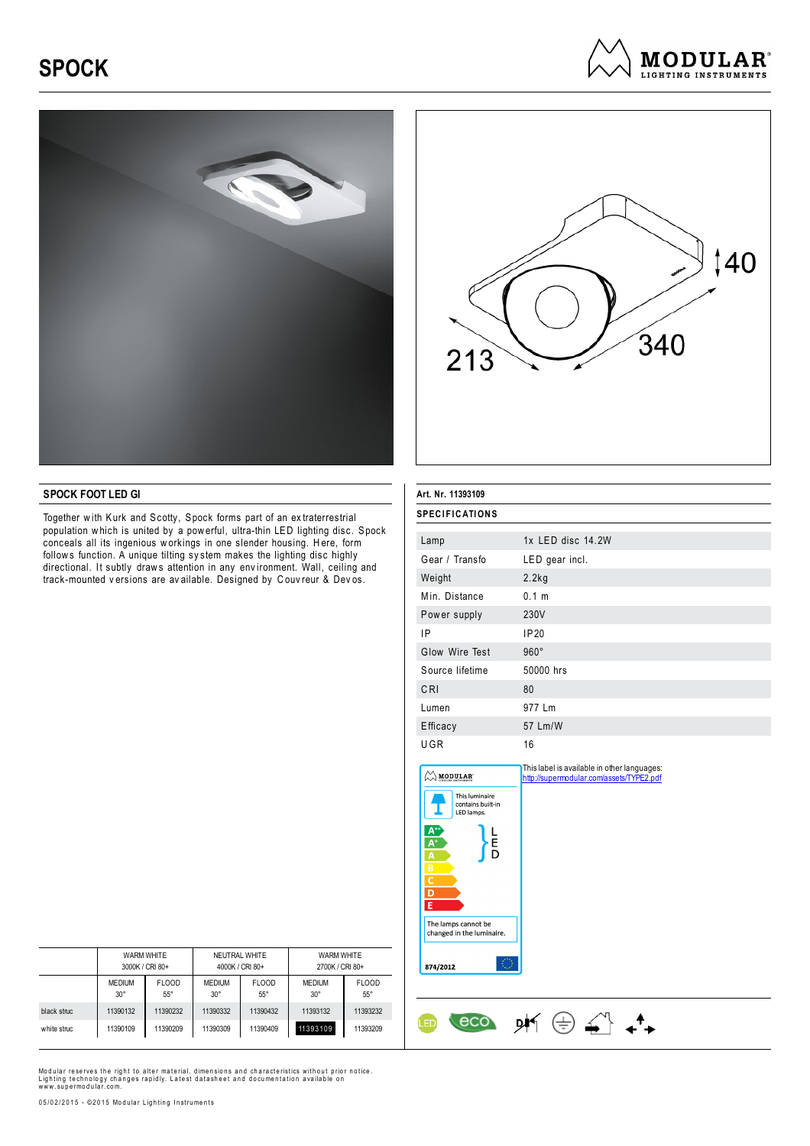## **SPOCK**







## **SPOCK FOOT LED GI**

Together with Kurk and Scotty, Spock forms part of an extraterrestrial population w hich is united by a pow erful, ultra-thin LED lighting disc. Spock conceals all its ingenious workings in one slender housing. Here, form follow s function. A unique tilting sy stem makes the lighting disc highly directional. It subtly draws attention in any environment. Wall, ceiling and track-mounted v ersions are av ailable. Designed by C ouv reur & Dev os.

| Art. Nr. 11393109                                                                                                                                                                                                                         |                                                                                         |  |  |  |  |
|-------------------------------------------------------------------------------------------------------------------------------------------------------------------------------------------------------------------------------------------|-----------------------------------------------------------------------------------------|--|--|--|--|
| <b>SPECIFICATIONS</b>                                                                                                                                                                                                                     |                                                                                         |  |  |  |  |
| Lamp                                                                                                                                                                                                                                      | 1x LED disc 14.2W                                                                       |  |  |  |  |
| Gear / Transfo                                                                                                                                                                                                                            | LED gear incl.                                                                          |  |  |  |  |
| Weight                                                                                                                                                                                                                                    | 2.2kg                                                                                   |  |  |  |  |
| Min. Distance                                                                                                                                                                                                                             | 0.1 m                                                                                   |  |  |  |  |
| Power supply                                                                                                                                                                                                                              | 230V                                                                                    |  |  |  |  |
| IP                                                                                                                                                                                                                                        | <b>IP20</b>                                                                             |  |  |  |  |
| Glow Wire Test                                                                                                                                                                                                                            | $960^\circ$                                                                             |  |  |  |  |
| Source lifetime                                                                                                                                                                                                                           | 50000 hrs                                                                               |  |  |  |  |
| CRI                                                                                                                                                                                                                                       | 80                                                                                      |  |  |  |  |
| Lumen                                                                                                                                                                                                                                     | 977 Lm                                                                                  |  |  |  |  |
| Efficacy                                                                                                                                                                                                                                  | 57 Lm/W                                                                                 |  |  |  |  |
| UGR                                                                                                                                                                                                                                       | 16                                                                                      |  |  |  |  |
| $\oslash$ modular<br>This luminaire<br>contains built-in<br>LED lamps.<br>$\overline{A}$ $\overline{A}$ $\overline{B}$<br>E<br>D<br>$\overline{c}$<br>$\overline{D}$<br>E<br>The lamps cannot be<br>changed in the luminaire.<br>874/2012 | This label is available in other languages:<br>http://supermodular.com/assets/TYPE2.pdf |  |  |  |  |

|             | <b>WARM WHITE</b> |              | NEUTRAL WHITE   |              | <b>WARM WHITE</b> |              |
|-------------|-------------------|--------------|-----------------|--------------|-------------------|--------------|
|             | 3000K / CRI 80+   |              | 4000K / CRI 80+ |              | 2700K / CRI 80+   |              |
|             | <b>MEDIUM</b>     | <b>FLOOD</b> | <b>MEDIUM</b>   | <b>FLOOD</b> | <b>MEDIUM</b>     | <b>FLOOD</b> |
|             | $30^\circ$        | $55^{\circ}$ | $30^{\circ}$    | $55^{\circ}$ | $30^\circ$        | $55^{\circ}$ |
| black struc | 11390132          | 11390232     | 11390332        | 11390432     | 11393132          | 11393232     |
| white struc | 11390109          | 11390209     | 11390309        | 11390409     | 11393109          | 11393209     |

Modular reserves the right to alter material, dimensions and characteristics without prior notice.<br>Lighting technology changes rapidly. Latest datasheet and documentation available on<br>www.supermodular.com.